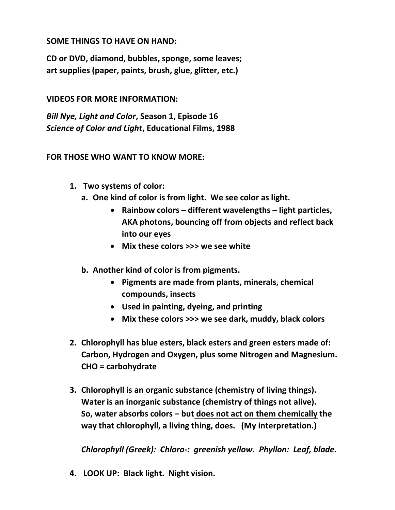## SOME THINGS TO HAVE ON HAND:

CD or DVD, diamond, bubbles, sponge, some leaves; art supplies (paper, paints, brush, glue, glitter, etc.)

## VIDEOS FOR MORE INFORMATION:

Bill Nye, Light and Color, Season 1, Episode 16 Science of Color and Light, Educational Films, 1988

## FOR THOSE WHO WANT TO KNOW MORE:

- 1. Two systems of color:
	- a. One kind of color is from light. We see color as light.
		- Rainbow colors different wavelengths light particles, AKA photons, bouncing off from objects and reflect back into our eyes
		- Mix these colors >>> we see white
	- b. Another kind of color is from pigments.
		- Pigments are made from plants, minerals, chemical compounds, insects
		- Used in painting, dyeing, and printing
		- Mix these colors >>> we see dark, muddy, black colors
- 2. Chlorophyll has blue esters, black esters and green esters made of: Carbon, Hydrogen and Oxygen, plus some Nitrogen and Magnesium. CHO = carbohydrate
- 3. Chlorophyll is an organic substance (chemistry of living things). Water is an inorganic substance (chemistry of things not alive). So, water absorbs colors – but does not act on them chemically the way that chlorophyll, a living thing, does. (My interpretation.)

Chlorophyll (Greek): Chloro-: greenish yellow. Phyllon: Leaf, blade.

4. LOOK UP: Black light. Night vision.